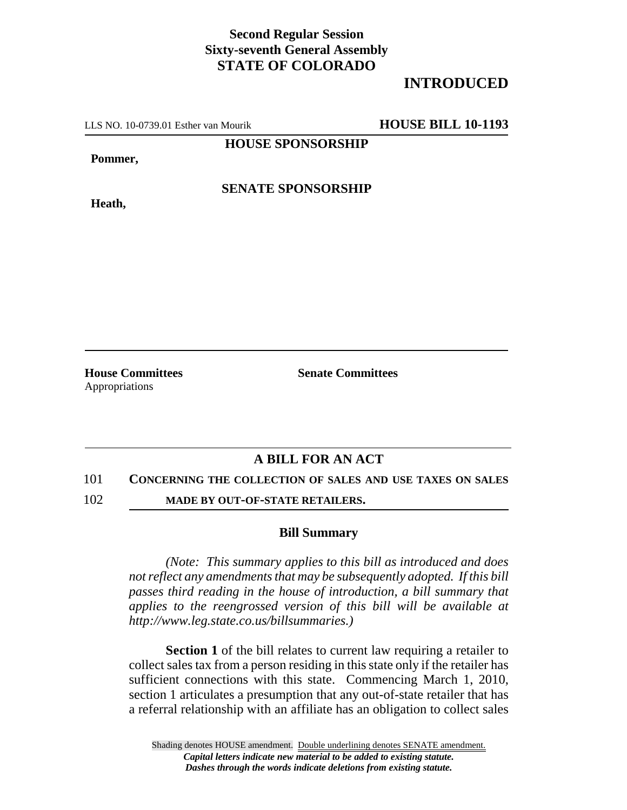## **Second Regular Session Sixty-seventh General Assembly STATE OF COLORADO**

## **INTRODUCED**

LLS NO. 10-0739.01 Esther van Mourik **HOUSE BILL 10-1193**

**HOUSE SPONSORSHIP**

**Pommer,**

**Heath,**

**SENATE SPONSORSHIP**

Appropriations

**House Committees Senate Committees** 

## **A BILL FOR AN ACT**

101 **CONCERNING THE COLLECTION OF SALES AND USE TAXES ON SALES**

102 **MADE BY OUT-OF-STATE RETAILERS.**

## **Bill Summary**

*(Note: This summary applies to this bill as introduced and does not reflect any amendments that may be subsequently adopted. If this bill passes third reading in the house of introduction, a bill summary that applies to the reengrossed version of this bill will be available at http://www.leg.state.co.us/billsummaries.)*

**Section 1** of the bill relates to current law requiring a retailer to collect sales tax from a person residing in this state only if the retailer has sufficient connections with this state. Commencing March 1, 2010, section 1 articulates a presumption that any out-of-state retailer that has a referral relationship with an affiliate has an obligation to collect sales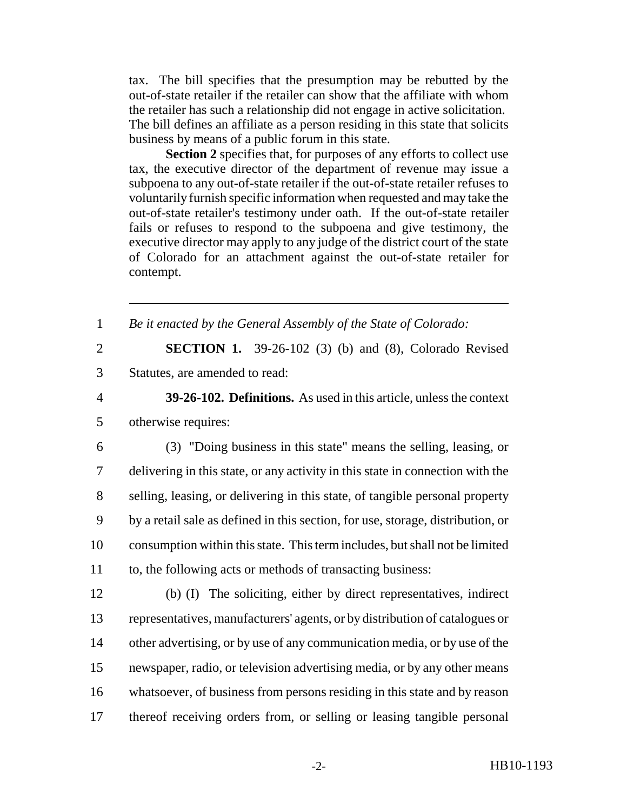tax. The bill specifies that the presumption may be rebutted by the out-of-state retailer if the retailer can show that the affiliate with whom the retailer has such a relationship did not engage in active solicitation. The bill defines an affiliate as a person residing in this state that solicits business by means of a public forum in this state.

**Section 2** specifies that, for purposes of any efforts to collect use tax, the executive director of the department of revenue may issue a subpoena to any out-of-state retailer if the out-of-state retailer refuses to voluntarily furnish specific information when requested and may take the out-of-state retailer's testimony under oath. If the out-of-state retailer fails or refuses to respond to the subpoena and give testimony, the executive director may apply to any judge of the district court of the state of Colorado for an attachment against the out-of-state retailer for contempt.

| $\mathbf{1}$   | Be it enacted by the General Assembly of the State of Colorado:                 |
|----------------|---------------------------------------------------------------------------------|
| $\overline{2}$ | <b>SECTION 1.</b> 39-26-102 (3) (b) and (8), Colorado Revised                   |
| 3              | Statutes, are amended to read:                                                  |
| $\overline{4}$ | 39-26-102. Definitions. As used in this article, unless the context             |
| 5              | otherwise requires:                                                             |
| 6              | (3) "Doing business in this state" means the selling, leasing, or               |
| 7              | delivering in this state, or any activity in this state in connection with the  |
| 8              | selling, leasing, or delivering in this state, of tangible personal property    |
| 9              | by a retail sale as defined in this section, for use, storage, distribution, or |
| 10             | consumption within this state. This term includes, but shall not be limited     |
| 11             | to, the following acts or methods of transacting business:                      |
| 12             | (b) (I) The soliciting, either by direct representatives, indirect              |
| 13             | representatives, manufacturers' agents, or by distribution of catalogues or     |
| 14             | other advertising, or by use of any communication media, or by use of the       |
| 15             | newspaper, radio, or television advertising media, or by any other means        |
| 16             | whatsoever, of business from persons residing in this state and by reason       |
| 17             | thereof receiving orders from, or selling or leasing tangible personal          |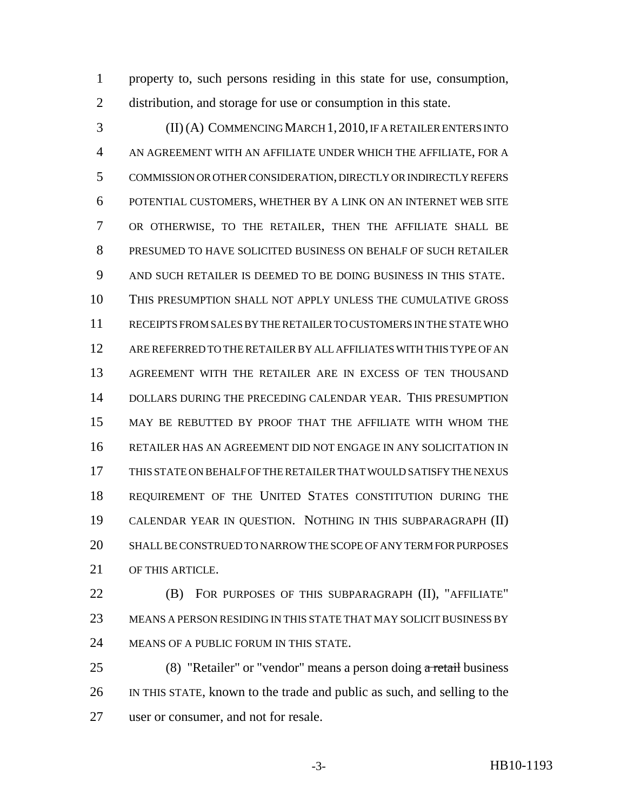property to, such persons residing in this state for use, consumption, distribution, and storage for use or consumption in this state.

 (II) (A) COMMENCING MARCH 1,2010, IF A RETAILER ENTERS INTO AN AGREEMENT WITH AN AFFILIATE UNDER WHICH THE AFFILIATE, FOR A COMMISSION OR OTHER CONSIDERATION, DIRECTLY OR INDIRECTLY REFERS POTENTIAL CUSTOMERS, WHETHER BY A LINK ON AN INTERNET WEB SITE OR OTHERWISE, TO THE RETAILER, THEN THE AFFILIATE SHALL BE PRESUMED TO HAVE SOLICITED BUSINESS ON BEHALF OF SUCH RETAILER AND SUCH RETAILER IS DEEMED TO BE DOING BUSINESS IN THIS STATE. THIS PRESUMPTION SHALL NOT APPLY UNLESS THE CUMULATIVE GROSS RECEIPTS FROM SALES BY THE RETAILER TO CUSTOMERS IN THE STATE WHO ARE REFERRED TO THE RETAILER BY ALL AFFILIATES WITH THIS TYPE OF AN AGREEMENT WITH THE RETAILER ARE IN EXCESS OF TEN THOUSAND DOLLARS DURING THE PRECEDING CALENDAR YEAR. THIS PRESUMPTION MAY BE REBUTTED BY PROOF THAT THE AFFILIATE WITH WHOM THE RETAILER HAS AN AGREEMENT DID NOT ENGAGE IN ANY SOLICITATION IN THIS STATE ON BEHALF OF THE RETAILER THAT WOULD SATISFY THE NEXUS REQUIREMENT OF THE UNITED STATES CONSTITUTION DURING THE CALENDAR YEAR IN QUESTION. NOTHING IN THIS SUBPARAGRAPH (II) SHALL BE CONSTRUED TO NARROW THE SCOPE OF ANY TERM FOR PURPOSES OF THIS ARTICLE.

**(B)** FOR PURPOSES OF THIS SUBPARAGRAPH (II), "AFFILIATE" MEANS A PERSON RESIDING IN THIS STATE THAT MAY SOLICIT BUSINESS BY MEANS OF A PUBLIC FORUM IN THIS STATE.

25 (8) "Retailer" or "vendor" means a person doing a retail business IN THIS STATE, known to the trade and public as such, and selling to the user or consumer, and not for resale.